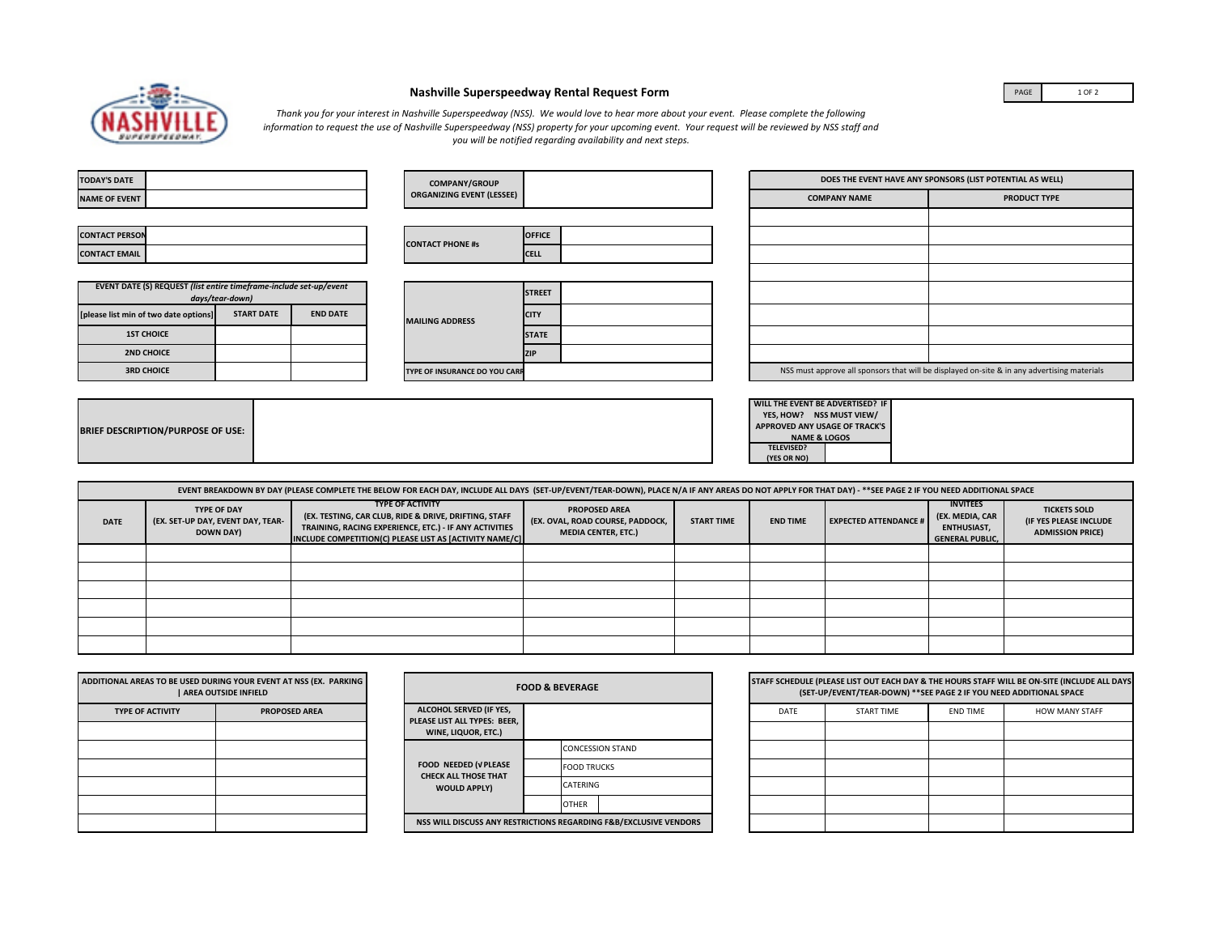

## **Nashville Superspeedway Rental Request Form**

PAGE 1 OF 2

*Thank you for your interest in Nashville Superspeedway (NSS). We would love to hear more about your event. Please complete the following information to request the use of Nashville Superspeedway (NSS) property for your upcoming event. Your request will be reviewed by NSS staff and you will be notified regarding availability and next steps.* 

| <b>TODAY'S DATE</b>                                                                   |  | <b>COMPANY/GROUP</b>   |                                  |             | DOES THE EVENT HAVE ANY SPONSORS (LIST POTENTIAL AS WELL) |                                                                                             |                     |  |
|---------------------------------------------------------------------------------------|--|------------------------|----------------------------------|-------------|-----------------------------------------------------------|---------------------------------------------------------------------------------------------|---------------------|--|
| <b>NAME OF EVENT</b>                                                                  |  |                        | <b>ORGANIZING EVENT (LESSEE)</b> |             |                                                           | <b>COMPANY NAME</b>                                                                         | <b>PRODUCT TYPE</b> |  |
|                                                                                       |  |                        |                                  |             |                                                           |                                                                                             |                     |  |
| <b>CONTACT PERSON</b>                                                                 |  |                        | <b>CONTACT PHONE #s</b>          | OFFICE      |                                                           |                                                                                             |                     |  |
| <b>CONTACT EMAIL</b>                                                                  |  |                        |                                  | <b>CELL</b> |                                                           |                                                                                             |                     |  |
|                                                                                       |  |                        |                                  |             |                                                           |                                                                                             |                     |  |
| EVENT DATE (S) REQUEST (list entire timeframe-include set-up/event<br>days/tear-down) |  |                        | <b>STREET</b>                    |             |                                                           |                                                                                             |                     |  |
| [please list min of two date options]<br><b>START DATE</b><br><b>END DATE</b>         |  | <b>MAILING ADDRESS</b> | <b>CITY</b>                      |             |                                                           |                                                                                             |                     |  |
| <b>1ST CHOICE</b>                                                                     |  |                        | <b>STATE</b>                     |             |                                                           |                                                                                             |                     |  |
| <b>2ND CHOICE</b>                                                                     |  |                        |                                  | <b>ZIP</b>  |                                                           |                                                                                             |                     |  |
| <b>3RD CHOICE</b>                                                                     |  |                        | TYPE OF INSURANCE DO YOU CARF    |             |                                                           | NSS must approve all sponsors that will be displayed on-site & in any advertising materials |                     |  |
|                                                                                       |  |                        |                                  |             |                                                           |                                                                                             |                     |  |
|                                                                                       |  |                        |                                  |             |                                                           | <b>WILL THE EVENT BE ADVERTISED? IF</b>                                                     |                     |  |

| <b>BRIEF DESCRIPTION/PURPOSE OF USE:</b> |  |
|------------------------------------------|--|
|------------------------------------------|--|

| WILL THE EVENT BE ADVERTISED? IF |  |
|----------------------------------|--|
| YES, HOW? NSS MUST VIEW/         |  |
| APPROVED ANY USAGE OF TRACK'S    |  |
| <b>NAME &amp; LOGOS</b>          |  |
| <b>TELEVISED?</b>                |  |
| (YES OR NO)                      |  |

|             |                                                                             | EVENT BREAKDOWN BY DAY (PLEASE COMPLETE THE BELOW FOR EACH DAY, INCLUDE ALL DAYS (SET-UP/EVENT/TEAR-DOWN), PLACE N/A IF ANY AREAS DO NOT APPLY FOR THAT DAY) - **SEE PAGE 2 IF YOU NEED ADDITIONAL SPACE |                                                                                        |                   |                 |                              |                                                                                    |                                                                          |
|-------------|-----------------------------------------------------------------------------|----------------------------------------------------------------------------------------------------------------------------------------------------------------------------------------------------------|----------------------------------------------------------------------------------------|-------------------|-----------------|------------------------------|------------------------------------------------------------------------------------|--------------------------------------------------------------------------|
| <b>DATE</b> | <b>TYPE OF DAY</b><br>(EX. SET-UP DAY, EVENT DAY, TEAR-<br><b>DOWN DAY)</b> | <b>TYPE OF ACTIVITY</b><br>(EX. TESTING, CAR CLUB, RIDE & DRIVE, DRIFTING, STAFF<br>TRAINING, RACING EXPERIENCE, ETC.) - IF ANY ACTIVITIES<br>INCLUDE COMPETITION(C) PLEASE LIST AS [ACTIVITY NAME/C]    | <b>PROPOSED AREA</b><br>(EX. OVAL, ROAD COURSE, PADDOCK,<br><b>MEDIA CENTER, ETC.)</b> | <b>START TIME</b> | <b>END TIME</b> | <b>EXPECTED ATTENDANCE #</b> | <b>INVITEES</b><br>(EX. MEDIA, CAR<br><b>ENTHUSIAST,</b><br><b>GENERAL PUBLIC.</b> | <b>TICKETS SOLD</b><br>(IF YES PLEASE INCLUDE<br><b>ADMISSION PRICE)</b> |
|             |                                                                             |                                                                                                                                                                                                          |                                                                                        |                   |                 |                              |                                                                                    |                                                                          |
|             |                                                                             |                                                                                                                                                                                                          |                                                                                        |                   |                 |                              |                                                                                    |                                                                          |
|             |                                                                             |                                                                                                                                                                                                          |                                                                                        |                   |                 |                              |                                                                                    |                                                                          |
|             |                                                                             |                                                                                                                                                                                                          |                                                                                        |                   |                 |                              |                                                                                    |                                                                          |
|             |                                                                             |                                                                                                                                                                                                          |                                                                                        |                   |                 |                              |                                                                                    |                                                                          |
|             |                                                                             |                                                                                                                                                                                                          |                                                                                        |                   |                 |                              |                                                                                    |                                                                          |

|                         | ADDITIONAL AREAS TO BE USED DURING YOUR EVENT AT NSS (EX. PARKING<br>  AREA OUTSIDE INFIELD |
|-------------------------|---------------------------------------------------------------------------------------------|
| <b>TYPE OF ACTIVITY</b> | <b>PROPOSED AREA</b>                                                                        |
|                         |                                                                                             |
|                         |                                                                                             |
|                         |                                                                                             |
|                         |                                                                                             |
|                         |                                                                                             |
|                         |                                                                                             |

|                                                                                | <b>FOOD &amp; BEVERAGE</b>                                        |
|--------------------------------------------------------------------------------|-------------------------------------------------------------------|
| ALCOHOL SERVED (IF YES,<br>PLEASE LIST ALL TYPES: BEER.<br>WINE, LIQUOR, ETC.) |                                                                   |
|                                                                                | <b>CONCESSION STAND</b>                                           |
| <b>FOOD NEEDED (VPLEASE</b><br><b>CHECK ALL THOSE THAT</b>                     | <b>FOOD TRUCKS</b>                                                |
| <b>WOULD APPLY)</b>                                                            | CATERING                                                          |
|                                                                                | OTHER                                                             |
|                                                                                | NSS WILL DISCUSS ANY RESTRICTIONS REGARDING F&B/EXCLUSIVE VENDORS |

|      | (SET-UP/EVENT/TEAR-DOWN) ** SEE PAGE 2 IF YOU NEED ADDITIONAL SPACE |                 | STAFF SCHEDULE (PLEASE LIST OUT EACH DAY & THE HOURS STAFF WILL BE ON-SITE (INCLUDE ALL DAYS |
|------|---------------------------------------------------------------------|-----------------|----------------------------------------------------------------------------------------------|
| DATE | <b>START TIME</b>                                                   | <b>FND TIME</b> | <b>HOW MANY STAFF</b>                                                                        |
|      |                                                                     |                 |                                                                                              |
|      |                                                                     |                 |                                                                                              |
|      |                                                                     |                 |                                                                                              |
|      |                                                                     |                 |                                                                                              |
|      |                                                                     |                 |                                                                                              |
|      |                                                                     |                 |                                                                                              |